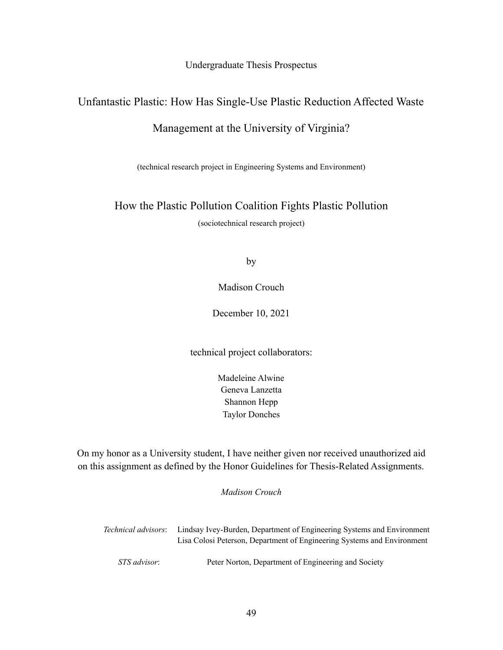Undergraduate Thesis Prospectus

## Unfantastic Plastic: How Has Single-Use Plastic Reduction Affected Waste

## Management at the University of Virginia?

(technical research project in Engineering Systems and Environment)

### How the Plastic Pollution Coalition Fights Plastic Pollution

(sociotechnical research project)

by

Madison Crouch

December 10, 2021

technical project collaborators:

Madeleine Alwine Geneva Lanzetta Shannon Hepp Taylor Donches

On my honor as a University student, I have neither given nor received unauthorized aid on this assignment as defined by the Honor Guidelines for Thesis-Related Assignments.

*Madison Crouch*

| <i>Technical advisors:</i> | Lindsay Ivey-Burden, Department of Engineering Systems and Environment  |
|----------------------------|-------------------------------------------------------------------------|
|                            | Lisa Colosi Peterson, Department of Engineering Systems and Environment |
|                            |                                                                         |
| <i>STS advisor:</i>        | Peter Norton, Department of Engineering and Society                     |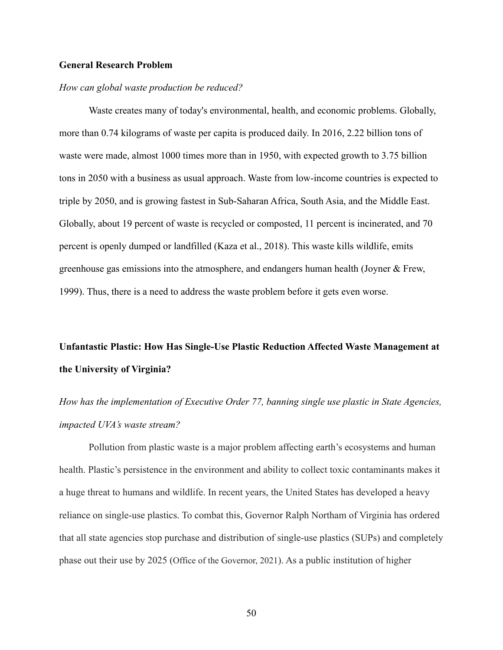#### **General Research Problem**

#### *How can global waste production be reduced?*

Waste creates many of today's environmental, health, and economic problems. Globally, more than 0.74 kilograms of waste per capita is produced daily. In 2016, 2.22 billion tons of waste were made, almost 1000 times more than in 1950, with expected growth to 3.75 billion tons in 2050 with a business as usual approach. Waste from low-income countries is expected to triple by 2050, and is growing fastest in Sub-Saharan Africa, South Asia, and the Middle East. Globally, about 19 percent of waste is recycled or composted, 11 percent is incinerated, and 70 percent is openly dumped or landfilled (Kaza et al., 2018). This waste kills wildlife, emits greenhouse gas emissions into the atmosphere, and endangers human health (Joyner & Frew, 1999). Thus, there is a need to address the waste problem before it gets even worse.

# **Unfantastic Plastic: How Has Single-Use Plastic Reduction Affected Waste Management at the University of Virginia?**

*How has the implementation of Executive Order 77, banning single use plastic in State Agencies, impacted UVA's waste stream?*

Pollution from plastic waste is a major problem affecting earth's ecosystems and human health. Plastic's persistence in the environment and ability to collect toxic contaminants makes it a huge threat to humans and wildlife. In recent years, the United States has developed a heavy reliance on single-use plastics. To combat this, Governor Ralph Northam of Virginia has ordered that all state agencies stop purchase and distribution of single-use plastics (SUPs) and completely phase out their use by 2025 (Office of the Governor, 2021). As a public institution of higher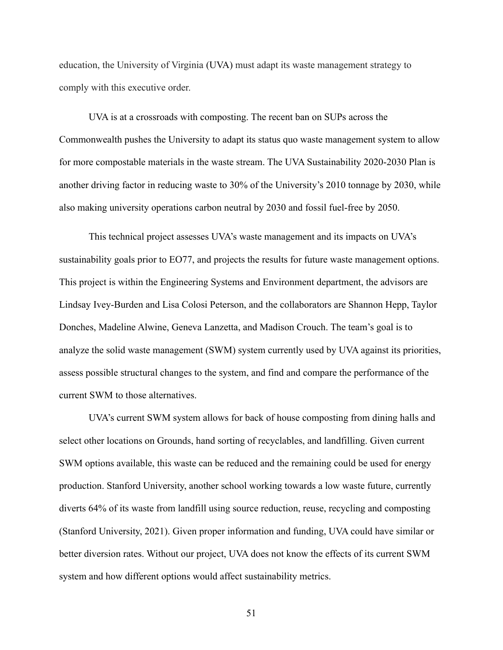education, the University of Virginia (UVA) must adapt its waste management strategy to comply with this executive order.

UVA is at a crossroads with composting. The recent ban on SUPs across the Commonwealth pushes the University to adapt its status quo waste management system to allow for more compostable materials in the waste stream. The UVA Sustainability 2020-2030 Plan is another driving factor in reducing waste to 30% of the University's 2010 tonnage by 2030, while also making university operations carbon neutral by 2030 and fossil fuel-free by 2050.

This technical project assesses UVA's waste management and its impacts on UVA's sustainability goals prior to EO77, and projects the results for future waste management options. This project is within the Engineering Systems and Environment department, the advisors are Lindsay Ivey-Burden and Lisa Colosi Peterson, and the collaborators are Shannon Hepp, Taylor Donches, Madeline Alwine, Geneva Lanzetta, and Madison Crouch. The team's goal is to analyze the solid waste management (SWM) system currently used by UVA against its priorities, assess possible structural changes to the system, and find and compare the performance of the current SWM to those alternatives.

UVA's current SWM system allows for back of house composting from dining halls and select other locations on Grounds, hand sorting of recyclables, and landfilling. Given current SWM options available, this waste can be reduced and the remaining could be used for energy production. Stanford University, another school working towards a low waste future, currently diverts 64% of its waste from landfill using source reduction, reuse, recycling and composting (Stanford University, 2021). Given proper information and funding, UVA could have similar or better diversion rates. Without our project, UVA does not know the effects of its current SWM system and how different options would affect sustainability metrics.

51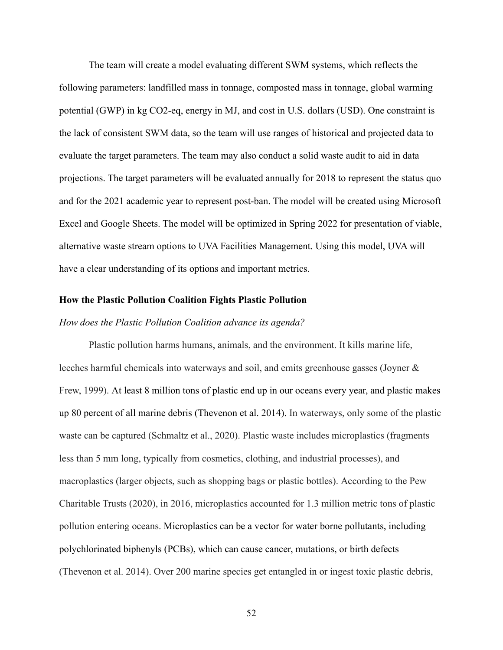The team will create a model evaluating different SWM systems, which reflects the following parameters: landfilled mass in tonnage, composted mass in tonnage, global warming potential (GWP) in kg CO2-eq, energy in MJ, and cost in U.S. dollars (USD). One constraint is the lack of consistent SWM data, so the team will use ranges of historical and projected data to evaluate the target parameters. The team may also conduct a solid waste audit to aid in data projections. The target parameters will be evaluated annually for 2018 to represent the status quo and for the 2021 academic year to represent post-ban. The model will be created using Microsoft Excel and Google Sheets. The model will be optimized in Spring 2022 for presentation of viable, alternative waste stream options to UVA Facilities Management. Using this model, UVA will have a clear understanding of its options and important metrics.

#### **How the Plastic Pollution Coalition Fights Plastic Pollution**

#### *How does the Plastic Pollution Coalition advance its agenda?*

Plastic pollution harms humans, animals, and the environment. It kills marine life, leeches harmful chemicals into waterways and soil, and emits greenhouse gasses (Joyner & Frew, 1999). At least 8 million tons of plastic end up in our oceans every year, and plastic makes up 80 percent of all marine debris (Thevenon et al. 2014). In waterways, only some of the plastic waste can be captured (Schmaltz et al., 2020). Plastic waste includes microplastics (fragments less than 5 mm long, typically from cosmetics, clothing, and industrial processes), and macroplastics (larger objects, such as shopping bags or plastic bottles). According to the Pew Charitable Trusts (2020), in 2016, microplastics accounted for 1.3 million metric tons of plastic pollution entering oceans. Microplastics can be a vector for water borne pollutants, including polychlorinated biphenyls (PCBs), which can cause cancer, mutations, or birth defects (Thevenon et al. 2014). Over 200 marine species get entangled in or ingest toxic plastic debris,

52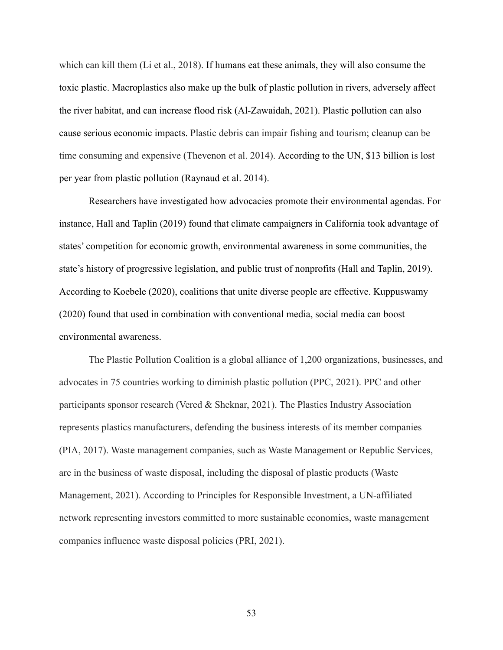which can kill them (Li et al., 2018). If humans eat these animals, they will also consume the toxic plastic. Macroplastics also make up the bulk of plastic pollution in rivers, adversely affect the river habitat, and can increase flood risk (Al-Zawaidah, 2021). Plastic pollution can also cause serious economic impacts. Plastic debris can impair fishing and tourism; cleanup can be time consuming and expensive (Thevenon et al. 2014). According to the UN, \$13 billion is lost per year from plastic pollution (Raynaud et al. 2014).

Researchers have investigated how advocacies promote their environmental agendas. For instance, Hall and Taplin (2019) found that climate campaigners in California took advantage of states' competition for economic growth, environmental awareness in some communities, the state's history of progressive legislation, and public trust of nonprofits (Hall and Taplin, 2019). According to Koebele (2020), coalitions that unite diverse people are effective. Kuppuswamy (2020) found that used in combination with conventional media, social media can boost environmental awareness.

The Plastic Pollution Coalition is a global alliance of 1,200 organizations, businesses, and advocates in 75 countries working to diminish plastic pollution (PPC, 2021). PPC and other participants sponsor research (Vered  $\&$  Sheknar, 2021). The Plastics Industry Association represents plastics manufacturers, defending the business interests of its member companies (PIA, 2017). Waste management companies, such as Waste Management or Republic Services, are in the business of waste disposal, including the disposal of plastic products (Waste Management, 2021). According to Principles for Responsible Investment, a UN-affiliated network representing investors committed to more sustainable economies, waste management companies influence waste disposal policies (PRI, 2021).

53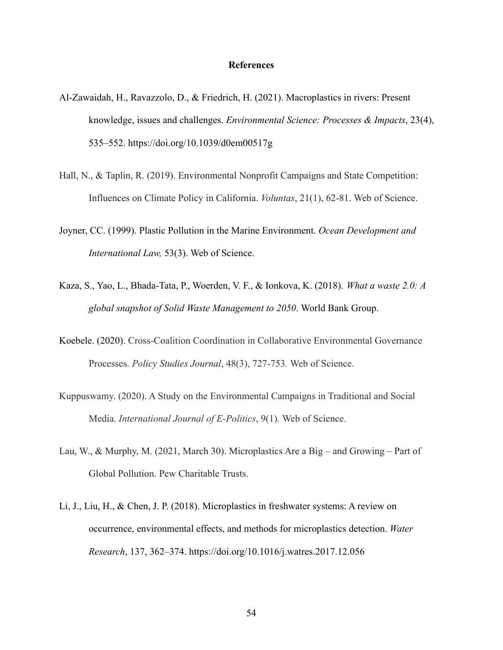#### **References**

- Al-Zawaidah, H., Ravazzolo, D., & Friedrich, H. (2021). Macroplastics in rivers: Present knowledge, issues and challenges. *Environmental Science: Processes & Impacts*, 23(4), 535–552. https://doi.org/10.1039/d0em00517g
- Hall, N., & Taplin, R. (2019). Environmental Nonprofit Campaigns and State Competition: Influences on Climate Policy in California. *Voluntas*, 21(1), 62-81. Web of Science.
- Joyner, CC. (1999). Plastic Pollution in the Marine Environment. *Ocean Development and International Law,* 53(3). Web of Science.
- Kaza, S., Yao, L., Bhada-Tata, P., Woerden, V. F., & Ionkova, K. (2018). *What a waste 2.0: A global snapshot of Solid Waste Management to 2050*. World Bank Group.
- Koebele. (2020). Cross-Coalition Coordination in Collaborative Environmental Governance Processes. *Policy Studies Journal*, 48(3), 727-753*.* Web of Science.
- Kuppuswamy. (2020). A Study on the Environmental Campaigns in Traditional and Social Media. *International Journal of E-Politics*, 9(1)*.* Web of Science.
- Lau, W., & Murphy, M. (2021, March 30). Microplastics Are a Big and Growing Part of Global Pollution. Pew Charitable Trusts.
- Li, J., Liu, H., & Chen, J. P. (2018). Microplastics in freshwater systems: A review on occurrence, environmental effects, and methods for microplastics detection. *Water Research*, 137, 362–374. https://doi.org/10.1016/j.watres.2017.12.056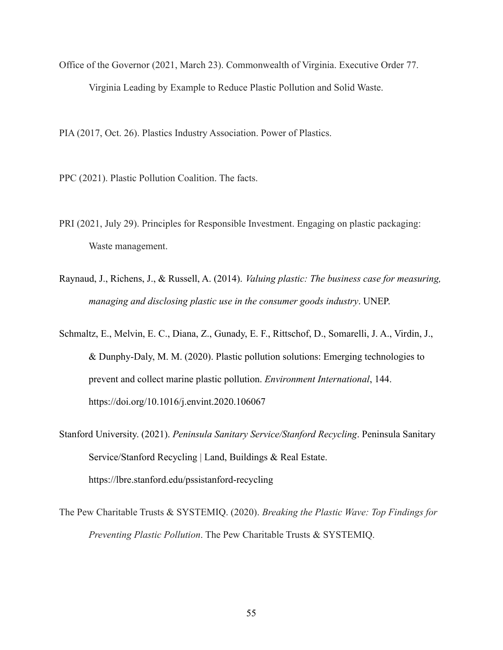Office of the Governor (2021, March 23). Commonwealth of Virginia. Executive Order 77. Virginia Leading by Example to Reduce Plastic Pollution and Solid Waste.

PIA (2017, Oct. 26). Plastics Industry Association. Power of Plastics.

- PPC (2021). Plastic Pollution Coalition. The facts.
- PRI (2021, July 29). Principles for Responsible Investment. Engaging on plastic packaging: Waste management.
- Raynaud, J., Richens, J., & Russell, A. (2014). *Valuing plastic: The business case for measuring, managing and disclosing plastic use in the consumer goods industry*. UNEP.
- Schmaltz, E., Melvin, E. C., Diana, Z., Gunady, E. F., Rittschof, D., Somarelli, J. A., Virdin, J., & Dunphy-Daly, M. M. (2020). Plastic pollution solutions: Emerging technologies to prevent and collect marine plastic pollution. *Environment International*, 144. https://doi.org/10.1016/j.envint.2020.106067
- Stanford University. (2021). *Peninsula Sanitary Service/Stanford Recycling*. Peninsula Sanitary Service/Stanford Recycling | Land, Buildings & Real Estate. https://lbre.stanford.edu/pssistanford-recycling
- The Pew Charitable Trusts & SYSTEMIQ. (2020). *Breaking the Plastic Wave: Top Findings for Preventing Plastic Pollution*. The Pew Charitable Trusts & SYSTEMIQ.